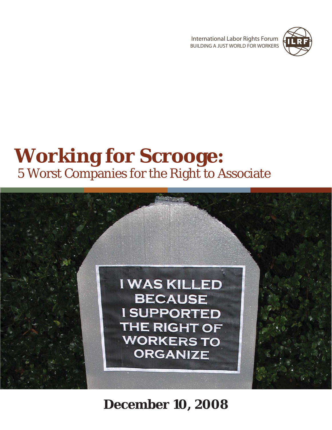INTERNATIONAL LABOR RIGHTS FORUM **NEW YORK READ PROPERTY**<br>BUILDING A JUST WORLD FOR WORKERS



## **Working for Scrooge:** 5 Worst Companies for the Right to Associate



**December 10, 2008**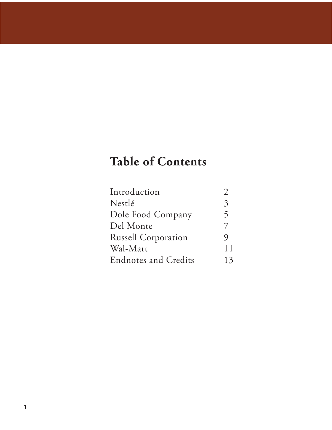## **Table of Contents**

| Introduction                |              |
|-----------------------------|--------------|
| Nestlé                      | 3            |
| Dole Food Company           | $\mathsf{S}$ |
| Del Monte                   | 7            |
| <b>Russell Corporation</b>  | $\mathbf Q$  |
| Wal-Mart                    | 11           |
| <b>Endnotes and Credits</b> | 13           |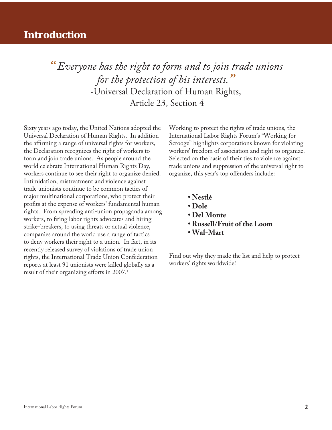### **Introduction**

*" Everyone has the right to form and to join trade unions for the protection of his interests."* -Universal Declaration of Human Rights, Article 23, Section 4

Sixty years ago today, the United Nations adopted the Universal Declaration of Human Rights. In addition the affirming a range of universal rights for workers, the Declaration recognizes the right of workers to form and join trade unions. As people around the world celebrate International Human Rights Day, workers continue to see their right to organize denied. Intimidation, mistreatment and violence against trade unionists continue to be common tactics of major multinational corporations, who protect their profits at the expense of workers' fundamental human rights. From spreading anti-union propaganda among workers, to firing labor rights advocates and hiring strike-breakers, to using threats or actual violence, companies around the world use a range of tactics to deny workers their right to a union. In fact, in its recently released survey of violations of trade union rights, the International Trade Union Confederation reports at least 91 unionists were killed globally as a result of their organizing efforts in 2007.<sup>1</sup>

Working to protect the rights of trade unions, the International Labor Rights Forum's "Working for Scrooge" highlights corporations known for violating workers' freedom of association and right to organize. Selected on the basis of their ties to violence against trade unions and suppression of the universal right to organize, this year's top offenders include:

- **Nestlé**
- **Dole**
- **Del Monte**
- **Russell/Fruit of the Loom**
- **Wal-Mart**

Find out why they made the list and help to protect workers' rights worldwide!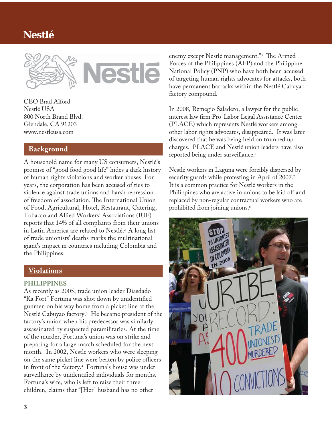## **Nestlé**





CEO Brad Alford Nestlé USA 800 North Brand Blvd. Glendale, CA 91203 www.nestleusa.com

#### **Background**

A household name for many US consumers, Nestlé's promise of "good food good life" hides a dark history of human rights violations and worker abuses. For years, the corporation has been accused of ties to violence against trade unions and harsh repression of freedom of association. The International Union of Food, Agricultural, Hotel, Restaurant, Catering, Tobacco and Allied Workers' Associations (IUF) reports that 14% of all complaints from their unions in Latin America are related to Nestlé.<sup>2</sup> A long list of trade unionists' deaths marks the multinational giant's impact in countries including Colombia and the Philippines.

#### **Violations**

#### **PHILIPPINES**

As recently as 2005, trade union leader Diasdado "Ka Fort" Fortuna was shot down by unidentified gunmen on his way home from a picket line at the Nestlé Cabuyao factory.3 He became president of the factory's union when his predecessor was similarly assassinated by suspected paramilitaries. At the time of the murder, Fortuna's union was on strike and preparing for a large march scheduled for the next month. In 2002, Nestle workers who were sleeping on the same picket line were beaten by police officers in front of the factory.4 Fortuna's house was under surveillance by unidentified individuals for months. Fortuna's wife, who is left to raise their three children, claims that "[Her] husband has no other

enemy except Nestlé management."<sup>5</sup> The Armed Forces of the Philippines (AFP) and the Philippine National Policy (PNP) who have both been accused of targeting human rights advocates for attacks, both have permanent barracks within the Nestlé Cabuyao factory compound.

In 2008, Remegio Saladero, a lawyer for the public interest law firm Pro-Labor Legal Assistance Center (PLACE) which represents Nestlé workers among other labor rights advocates, disappeared. It was later discovered that he was being held on trumped up charges. PLACE and Nestlé union leaders have also reported being under surveillance.<sup>6</sup>

Nestlé workers in Laguna were forcibly dispersed by security guards while protesting in April of 2007.7 It is a common practice for Nestlé workers in the Philippines who are active in unions to be laid off and replaced by non-regular contractual workers who are prohibited from joining unions.<sup>8</sup>

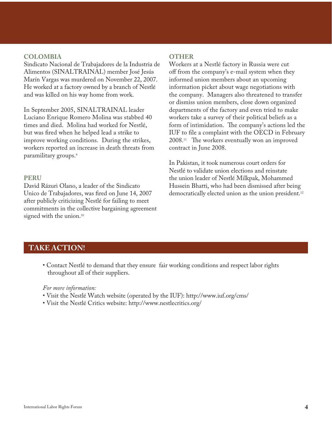#### **COLOMBIA**

Sindicato Nacional de Trabajadores de la Industria de Alimentos (SINALTRAINAL) member José Jesús Marín Vargas was murdered on November 22, 2007. He worked at a factory owned by a branch of Nestlé and was killed on his way home from work.

In September 2005, SINALTRAINAL leader Luciano Enrique Romero Molina was stabbed 40 times and died. Molina had worked for Nestlé, but was fired when he helped lead a strike to improve working conditions. During the strikes, workers reported an increase in death threats from paramilitary groups.9

#### **PERU**

David Rázuri Olano, a leader of the Sindicato Unico de Trabajadores, was fired on June 14, 2007 after publicly criticizing Nestlé for failing to meet commitments in the collective bargaining agreement signed with the union.<sup>10</sup>

#### **OTHER**

Workers at a Nestlé factory in Russia were cut off from the company's e-mail system when they informed union members about an upcoming information picket about wage negotiations with the company. Managers also threatened to transfer or dismiss union members, close down organized departments of the factory and even tried to make workers take a survey of their political beliefs as a form of intimidation. The company's actions led the IUF to file a complaint with the OECD in February  $2008.<sup>11</sup>$  The workers eventually won an improved contract in June 2008.

In Pakistan, it took numerous court orders for Nestlé to validate union elections and reinstate the union leader of Nestlé Milkpak, Mohammed Hussein Bhatti, who had been dismissed after being democratically elected union as the union president.<sup>12</sup>

#### **TAKE ACTION!**

 • Contact Nestlé to demand that they ensure fair working conditions and respect labor rights throughout all of their suppliers.

#### *For more information:*

- Visit the Nestlé Watch website (operated by the IUF): http://www.iuf.org/cms/
- Visit the Nestlé Critics website: http://www.nestlecritics.org/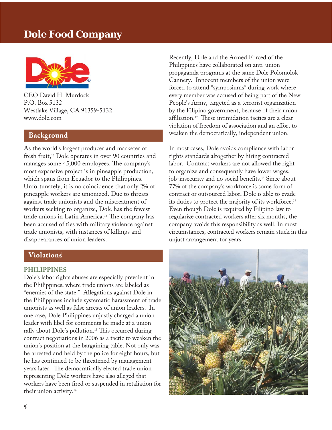## **Dole Food Company**



CEO David H. Murdock P.O. Box 5132 Westlake Village, CA 91359-5132 www.dole.com

#### **Background**

As the world's largest producer and marketer of fresh fruit,<sup>13</sup> Dole operates in over 90 countries and manages some 45,000 employees. The company's most expansive project is in pineapple production, which spans from Ecuador to the Philippines. Unfortunately, it is no coincidence that only 2% of pineapple workers are unionized. Due to threats against trade unionists and the mistreatment of workers seeking to organize, Dole has the fewest trade unions in Latin America.<sup>14</sup> The company has been accused of ties with military violence against trade unionists, with instances of killings and disappearances of union leaders.

#### **Violations**

#### **PHILIPPINES**

Dole's labor rights abuses are especially prevalent in the Philippines, where trade unions are labeled as "enemies of the state." Allegations against Dole in the Philippines include systematic harassment of trade unionists as well as false arrests of union leaders. In one case, Dole Philippines unjustly charged a union leader with libel for comments he made at a union rally about Dole's pollution.<sup>15</sup> This occurred during contract negotiations in 2006 as a tactic to weaken the union's position at the bargaining table. Not only was he arrested and held by the police for eight hours, but he has continued to be threatened by management years later. The democratically elected trade union representing Dole workers have also alleged that workers have been fired or suspended in retaliation for their union activity.16

Recently, Dole and the Armed Forced of the Philippines have collaborated on anti-union propaganda programs at the same Dole Polomolok Cannery. Innocent members of the union were forced to attend "symposiums" during work where every member was accused of being part of the New People's Army, targeted as a terrorist organization by the Filipino government, because of their union affiliation.<sup>17</sup> These intimidation tactics are a clear violation of freedom of association and an effort to weaken the democratically, independent union.

In most cases, Dole avoids compliance with labor rights standards altogether by hiring contracted labor. Contract workers are not allowed the right to organize and consequently have lower wages, job-insecurity and no social benefits.<sup>18</sup> Since about 77% of the company's workforce is some form of contract or outsourced labor, Dole is able to evade its duties to protect the majority of its workforce.<sup>19</sup> Even though Dole is required by Filipino law to regularize contracted workers after six months, the company avoids this responsibility as well. In most circumstances, contracted workers remain stuck in this unjust arrangement for years.

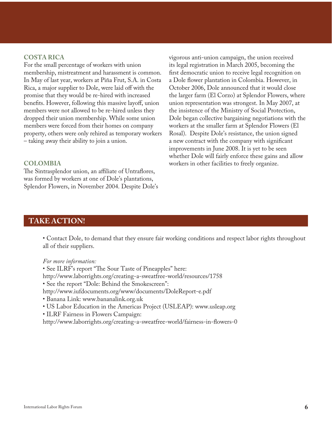#### **COSTA RICA**

For the small percentage of workers with union membership, mistreatment and harassment is common. In May of last year, workers at Piña Frut, S.A. in Costa Rica, a major supplier to Dole, were laid off with the promise that they would be re-hired with increased benefits. However, following this massive layoff, union members were not allowed to be re-hired unless they dropped their union membership. While some union members were forced from their homes on company property, others were only rehired as temporary workers – taking away their ability to join a union.

#### **COLOMBIA**

The Sintrasplendor union, an affiliate of Untraflores, was formed by workers at one of Dole's plantations, Splendor Flowers, in November 2004. Despite Dole's vigorous anti-union campaign, the union received its legal registration in March 2005, becoming the first democratic union to receive legal recognition on a Dole flower plantation in Colombia. However, in October 2006, Dole announced that it would close the larger farm (El Corzo) at Splendor Flowers, where union representation was strongest. In May 2007, at the insistence of the Ministry of Social Protection, Dole began collective bargaining negotiations with the workers at the smaller farm at Splendor Flowers (El Rosal). Despite Dole's resistance, the union signed a new contract with the company with significant improvements in June 2008. It is yet to be seen whether Dole will fairly enforce these gains and allow workers in other facilities to freely organize.

#### **TAKE ACTION!**

 • Contact Dole, to demand that they ensure fair working conditions and respect labor rights throughout all of their suppliers.

#### *For more information:*

• See ILRF's report "The Sour Taste of Pineapples" here: http://www.laborrights.org/creating-a-sweatfree-world/resources/1758 • See the report "Dole: Behind the Smokescreen": http://www.iufdocuments.org/www/documents/DoleReport-e.pdf • Banana Link: www.bananalink.org.uk • US Labor Education in the Americas Project (USLEAP): www.usleap.org • ILRF Fairness in Flowers Campaign:

http://www.laborrights.org/creating-a-sweatfree-world/fairness-in-flowers-0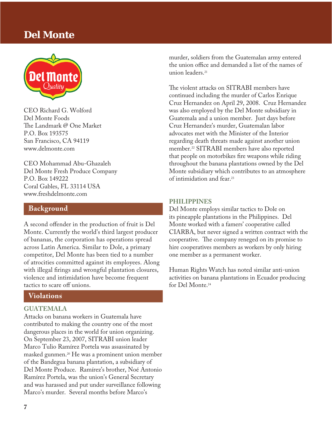## **Del Monte**



CEO Richard G. Wolford Del Monte Foods The Landmark @ One Market P.O. Box 193575 San Francisco, CA 94119 www.delmonte.com

CEO Mohammad Abu-Ghazaleh Del Monte Fresh Produce Company P.O. Box 149222 Coral Gables, FL 33114 USA www.freshdelmonte.com

#### **Background**

A second offender in the production of fruit is Del Monte. Currently the world's third largest producer of bananas, the corporation has operations spread across Latin America. Similar to Dole, a primary competitor, Del Monte has been tied to a number of atrocities committed against its employees. Along with illegal firings and wrongful plantation closures, violence and intimidation have become frequent tactics to scare off unions.

#### **Violations**

#### **GUATEMALA**

Attacks on banana workers in Guatemala have contributed to making the country one of the most dangerous places in the world for union organizing. On September 23, 2007, SITRABI union leader Marco Tulio Ramírez Portela was assassinated by masked gunmen.20 He was a prominent union member of the Bandegua banana plantation, a subsidiary of Del Monte Produce. Ramírez's brother, Noé Antonio Ramírez Portela, was the union's General Secretary and was harassed and put under surveillance following Marco's murder. Several months before Marco's

murder, soldiers from the Guatemalan army entered the union office and demanded a list of the names of union leaders<sup>21</sup>

The violent attacks on SITRABI members have continued including the murder of Carlos Enrique Cruz Hernandez on April 29, 2008. Cruz Hernandez was also employed by the Del Monte subsidiary in Guatemala and a union member. Just days before Cruz Hernandez's murder, Guatemalan labor advocates met with the Minister of the Interior regarding death threats made against another union member.22 SITRABI members have also reported that people on motorbikes fire weapons while riding throughout the banana plantations owned by the Del Monte subsidiary which contributes to an atmosphere of intimidation and fear.23

#### **PHILIPPINES**

Del Monte employs similar tactics to Dole on its pineapple plantations in the Philippines. Del Monte worked with a famers' cooperative called CIARBA, but never signed a written contract with the cooperative. The company reneged on its promise to hire cooperatives members as workers by only hiring one member as a permanent worker.

Human Rights Watch has noted similar anti-union activities on banana plantations in Ecuador producing for Del Monte.24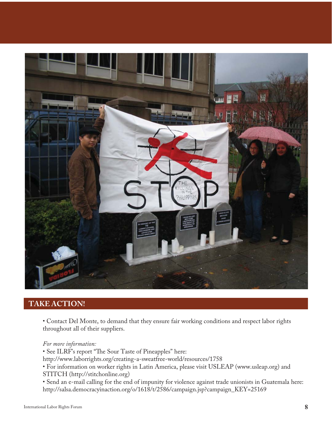

### **TAKE ACTION!**

 • Contact Del Monte, to demand that they ensure fair working conditions and respect labor rights throughout all of their suppliers.

 *For more information:*

• See ILRF's report "The Sour Taste of Pineapples" here:

http://www.laborrights.org/creating-a-sweatfree-world/resources/1758

 • For information on worker rights in Latin America, please visit USLEAP (www.usleap.org) and STITCH (http://stitchonline.org)

 • Send an e-mail calling for the end of impunity for violence against trade unionists in Guatemala here: http://salsa.democracyinaction.org/o/1618/t/2586/campaign.jsp?campaign\_KEY=25169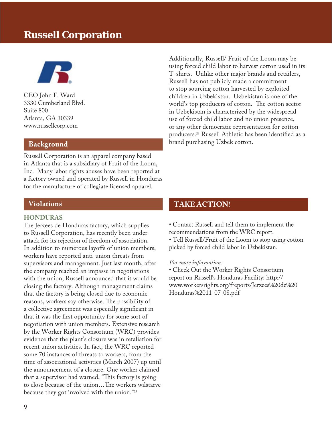## **Russell Corporation**



CEO John F. Ward 3330 Cumberland Blvd. Suite 800 Atlanta, GA 30339 www.russellcorp.com

Russell Corporation is an apparel company based in Atlanta that is a subsidiary of Fruit of the Loom, Inc. Many labor rights abuses have been reported at a factory owned and operated by Russell in Honduras for the manufacture of collegiate licensed apparel.

#### **Violations**

#### **HONDURAS**

The Jerzees de Honduras factory, which supplies to Russell Corporation, has recently been under attack for its rejection of freedom of association. In addition to numerous layoffs of union members, workers have reported anti-union threats from supervisors and management. Just last month, after the company reached an impasse in negotiations with the union, Russell announced that it would be closing the factory. Although management claims that the factory is being closed due to economic reasons, workers say otherwise. The possibility of a collective agreement was especially significant in that it was the first opportunity for some sort of negotiation with union members. Extensive research by the Worker Rights Consortium (WRC) provides evidence that the plant's closure was in retaliation for recent union activities. In fact, the WRC reported some 70 instances of threats to workers, from the time of associational activities (March 2007) up until the announcement of a closure. One worker claimed that a supervisor had warned, "This factory is going to close because of the union...The workers wilstarve because they got involved with the union."25

Additionally, Russell/ Fruit of the Loom may be using forced child labor to harvest cotton used in its T-shirts. Unlike other major brands and retailers, Russell has not publicly made a commitment to stop sourcing cotton harvested by exploited children in Uzbekistan. Uzbekistan is one of the world's top producers of cotton. The cotton sector in Uzbekistan is characterized by the widespread use of forced child labor and no union presence, or any other democratic representation for cotton producers.<sup>26</sup> Russell Athletic has been identified as a **Background Background brand purchasing Uzbek cotton.** 

#### **TAKE ACTION!**

• Contact Russell and tell them to implement the recommendations from the WRC report.

• Tell Russell/Fruit of the Loom to stop using cotton picked by forced child labor in Uzbekistan.

#### *For more information:*

• Check Out the Worker Rights Consortium report on Russell's Honduras Facility: http:// www.workersrights.org/freports/Jerzees%20de%20 Honduras%2011-07-08.pdf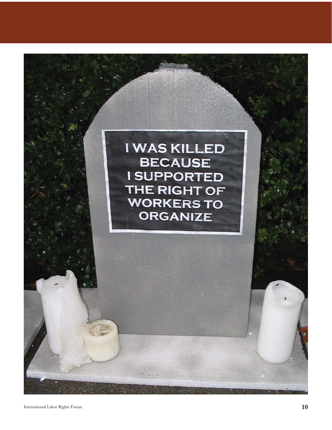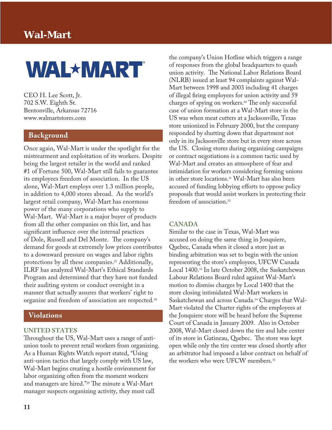## **Wal-Mart**

# **WAL\*MART**

CEO H. Lee Scott, Jr. 702 S.W. Eighth St. Bentonville, Arkansas 72716 www.walmartstores.com

#### **Background**

Once again, Wal-Mart is under the spotlight for the mistreatment and exploitation of its workers. Despite being the largest retailer in the world and ranked #1 of Fortune 500, Wal-Mart still fails to guarantee its employees freedom of association. In the US alone, Wal-Mart employs over 1.3 million people, in addition to 4,000 stores abroad. As the world's largest retail company, Wal-Mart has enormous power of the many corporations who supply to Wal-Mart. Wal-Mart is a major buyer of products from all the other companies on this list, and has significant influence over the internal practices of Dole, Russell and Del Monte. The company's demand for goods at extremely low prices contributes to a downward pressure on wages and labor rights protections by all these companies.<sup>27</sup> Additionally, ILRF has analyzed Wal-Mart's Ethical Standards Program and determined that they have not funded their auditing system or conduct oversight in a manner that actually assures that workers' right to organize and freedom of association are respected.28

#### **Violations**

#### **UNITED STATES**

Throughout the US, Wal-Mart uses a range of antiunion tools to prevent retail workers from organizing. As a Human Rights Watch report stated, "Using anti-union tactics that largely comply with US law, Wal-Mart begins creating a hostile environment for labor organizing often from the moment workers and managers are hired."<sup>29</sup> The minute a Wal-Mart manager suspects organizing activity, they must call

the company's Union Hotline which triggers a range of responses from the global headquarters to quash union activity. The National Labor Relations Board (NLRB) issued at least 94 complaints against Wal-Mart between 1998 and 2003 including 41 charges of illegal firing employees for union activity and 59 charges of spying on workers.<sup>30</sup> The only successful case of union formation at a Wal-Mart store in the US was when meat cutters at a Jacksonville, Texas store unionized in February 2000, but the company responded by shutting down that department not only in its Jacksonville store but in every store across the US. Closing stores during organizing campaigns or contract negotiations is a common tactic used by Wal-Mart and creates an atmosphere of fear and intimidation for workers considering forming unions in other store locations.31 Wal-Mart has also been accused of funding lobbying efforts to oppose policy proposals that would assist workers in protecting their freedom of association.32

#### **CANADA**

Similar to the case in Texas, Wal-Mart was accused on doing the same thing in Jonquiere, Quebec, Canada when it closed a store just as binding arbitration was set to begin with the union representing the store's employees, UFCW Canada Local 1400.33 In late October 2008, the Saskatchewan Labour Relations Board ruled against Wal-Mart's motion to dismiss charges by Local 1400 that the store closing intimidated Wal-Mart workers in Saskatchewan and across Canada.34 Charges that Wal-Mart violated the Charter rights of the employees at the Jonquiere store will be heard before the Supreme Court of Canada in January 2009. Also in October 2008, Wal-Mart closed down the tire and lube center of its store in Gatineau, Quebec. The store was kept open while only the tire center was closed shortly after an arbitrator had imposed a labor contract on behalf of the workers who were UFCW members.35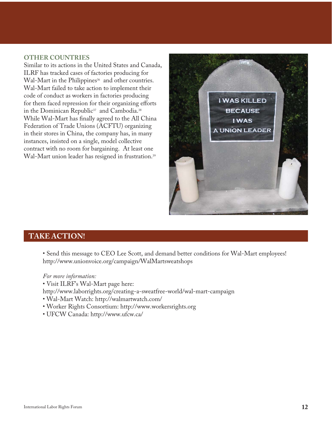#### **OTHER COUNTRIES**

Similar to its actions in the United States and Canada, ILRF has tracked cases of factories producing for Wal-Mart in the Philippines<sup>36</sup> and other countries. Wal-Mart failed to take action to implement their code of conduct as workers in factories producing for them faced repression for their organizing efforts in the Dominican Republic<sup>37</sup> and Cambodia.<sup>38</sup> While Wal-Mart has finally agreed to the All China Federation of Trade Unions (ACFTU) organizing in their stores in China, the company has, in many instances, insisted on a single, model collective contract with no room for bargaining. At least one Wal-Mart union leader has resigned in frustration.<sup>39</sup>



#### **TAKE ACTION!**

 • Send this message to CEO Lee Scott, and demand better conditions for Wal-Mart employees! http://www.unionvoice.org/campaign/WalMartsweatshops

#### *For more information:*

• Visit ILRF's Wal-Mart page here:

http://www.laborrights.org/creating-a-sweatfree-world/wal-mart-campaign

- Wal-Mart Watch: http://walmartwatch.com/
- Worker Rights Consortium: http://www.workersrights.org
- UFCW Canada: http://www.ufcw.ca/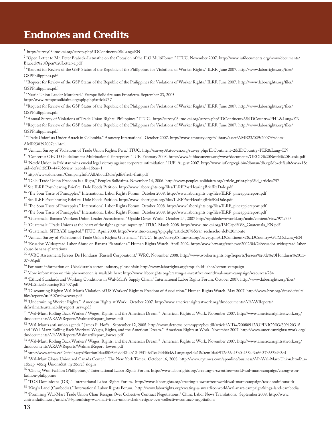## **Endnotes and Credits**

<sup>1</sup> http://survey08.ituc-csi.org/survey.php?IDContinent=0&Lang=EN

2 "Open Letter to Mr. Peter Brabeck-Letmathe on the Occasion of the ILO MultiForum." ITUC. November 2007. http://www.iufdocuments.org/www/documents/ Brabeck%20Open%20Letter-e.pdf

<sup>3</sup> "Request for Review of the GSP Status of the Republic of the Philippines for Violations of Worker Rights." ILRF. June 2007. http://www.laborrights.org/files/ GSPPhilippines.pdf

<sup>4</sup> "Request for Review of the GSP Status of the Republic of the Philippines for Violations of Worker Rights." ILRF. June 2007. http://www.laborrights.org/fi les/ GSPPhilippines.pdf

5 "Nestle Union Leader Murdered." Europe Solidaire sans Frontieres. September 23, 2005

http://www.europe-solidaire.org/spip.php?article757

<sup>6</sup> "Request for Review of the GSP Status of the Republic of the Philippines for Violations of Worker Rights." ILRF. June 2007. http://www.laborrights.org/files/ GSPPhilippines.pdf

7 "Annual Survey of Violations of Trade Union Rights: Philippines." ITUC. http://survey08.ituc-csi.org/survey.php?IDContinent=3&IDCountry=PHL&Lang=EN

<sup>8</sup> "Request for Review of the GSP Status of the Republic of the Philippines for Violations of Worker Rights." ILRF. June 2007. http://www.laborrights.org/files/ GSPPhilippines.pdf

9 "Trade Unionists Under Attack in Colombia." Amnesty International. October 2007. http://www.amnesty.org/fr/library/asset/AMR23/029/2007/fr/dom-AMR230292007en.html

10 "Annual Survey of Violations of Trade Union Rights: Peru." ITUC. http://survey08.ituc-csi.org/survey.php?IDContinent=2&IDCountry=PER&Lang=EN

11 "Concerns: OECD Guidelines for Multinational Enterprises." IUF. February 2008. http://www.iufdocuments.org/www/documents/OECD%20Nestle%20Russia.pdf <sup>12</sup> "Nestlé Union in Pakistan wins crucial legal victory against corporate intimidation." IUF. August 2007. http://www.iuf.org/cgi-bin/dbman/db.cgi?db=default&ww=1& uid=default&ID=4476&view\_records=1&en=1

13 http://www.dole.com/CompanyInfo/AllAboutDole/pdfs/fresh-fruit.pdf

<sup>14</sup> "Dole-Trade Union Freedom is a Right," Peuples Solidaires. November 14, 2006. http://www.peuples-solidaires.org/article\_print.php3?id\_article=757

<sup>15</sup> See ILRF Post-hearing Brief re. Dole Foods Petition. http://www.laborrights.org/files/ILRFPostHearingBriefReDole.pdf

<sup>16</sup> "The Sour Taste of Pineapples." International Labor Rights Forum. October 2008. http://www.laborrights.org/files/ILRF\_pineapplereport.pdf

<sup>17</sup> See ILRF Post-hearing Brief re. Dole Foods Petition. http://www.laborrights.org/files/ILRFPostHearingBriefReDole.pdf

<sup>18</sup> "The Sour Taste of Pineapples." International Labor Rights Forum. October 2008. http://www.laborrights.org/files/ILRF\_pineapplereport.pdf

<sup>19</sup> "The Sour Taste of Pineapples." International Labor Rights Forum. October 2008. http://www.laborrights.org/files/ILRF\_pineapplereport.pdf

20 "Guatemala: Banana Workers Union Leader Assassinated." Upside Down World. October 24, 2007 http://upsidedownworld.org/main/content/view/971/33/

<sup>21</sup> "Guatemala: Trade Unions at the heart of the fight against impunity." ITUC. March 2008. http://www.ituc-csi.org/IMG/pdf/VS\_Guatemala\_EN.pdf

22 "Guatemala: SITRABI targeted." ITUC. April 2008. http://www.ituc-csi.org/spip.php?article2078&var\_recherche=del%20monte

<sup>23</sup> "Annual Survey of Violations of Trade Union Rights: Guatemala." ITUC. http://survey08.ituc-csi.org/survey.php?IDContinent=2&IDCountry=GTM&Lang=EN

24 "Ecuador: Widespread Labor Abuse on Banana Plantations." Human Rights Watch. April 2002. http://www.hrw.org/en/news/2002/04/24/ecuador-widespread-laborabuse-banana-plantations

25 "WRC Assessment: Jerzees De Honduras (Russell Corporation)." WRC. November 2008. http://www.workersrights.org/freports/Jerzees%20de%20Honduras%2011- 07-08.pdf

26 For more information on Uzbekistan's cotton industry, please visit: http://www.laborrights.org/stop-child-labor/cotton-campaign

27 More information on this phenomenon is available here: http://www.laborrights.org/creating-a-sweatfree-world/wal-mart-campaign/resources/284

<sup>28</sup> "Ethical Standards and Working Conditions in Wal-Mart's Supply Chain." International Labor Rights Forum. October 2007. http://www.laborrights.org/files/ WMEthicalSourcing102407.pdf

29 "Discounting Rights: Wal-Mart's Violation of US Workers' Right to Freedom of Association." Human Rights Watch. May 2007. http://www.hrw.org/sites/default/ files/reports/us0507webwcover.pdf

30 "Undermining Worker Rights." American Rights at Work. October 2007. http://www.americanrightsatwork.org/dmdocuments/ARAWReports/ ilrfwalmartsustainabilityreport\_araw.pdf

31 "Wal-Mart: Rolling Back Workers' Wages, Rights, and the American Dream." American Rights at Work. November 2007. http://www.americanrightsatwork.org/ dmdocuments/ARAWReports/WalmartReport\_lowres.pdf

<sup>32</sup> "Wal-Mart's anti-union agenda." James P. Hoffa. September 12, 2008. http://www.detnews.com/apps/pbcs.dll/article?AID=/20080912/OPINION03/809120318 and "Wal-Mart: Rolling Back Workers' Wages, Rights, and the American Dream." American Rights at Work. November 2007. http://www.americanrightsatwork.org/ dmdocuments/ARAWReports/WalmartReport\_lowres.pdf

<sup>33</sup> "Wal-Mart: Rolling Back Workers' Wages, Rights, and the American Dream." American Rights at Work. November 2007. http://www.americanrightsatwork.org/ dmdocuments/ARAWReports/WalmartReport\_lowres.pdf

34 http://www.ufcw.ca/Default.aspx?SectionId=af80f8cf-ddd2-4b12-9f41-641ea94d4fa4&LanguageId=1&ItemId=fc912d66-45b0-4384-9a6f-37b655e9c3c4

<sup>35</sup> "Wal-Mart Closes Unionized Canada Center." The New York Times. October 16, 2008. http://www.nytimes.com/aponline/business/AP-Wal-Mart-Union.html?\_r= 1&scp=4&sq=Unions&st=nyt&oref=slogin

36 "Chong Won Fashion (Philippines)." International Labor Rights Forum. http://www.laborrights.org/creating-a-sweatfree-world/wal-mart-campaign/chong-wonfashion-philippines

37 "TOS Dominicana (DR)." International Labor Rights Forum. http://www.laborrights.org/creating-a-sweatfree-world/wal-mart-campaign/tos-dominicana-dr

38 "King's Land (Cambodia)." International Labor Rights Forum. http://www.laborrights.org/creating-a-sweatfree-world/wal-mart-campaign/kings-land-cambodia 39 "Promising Wal-Mart Trade Union Chair Resigns Over Collective Contract Negotiations." China Labor News Translations. September 2008. http://www. clntranslations.org/article/34/promising-wal-mart-trade-union-chair-resigns-over-collective-contract-negotiations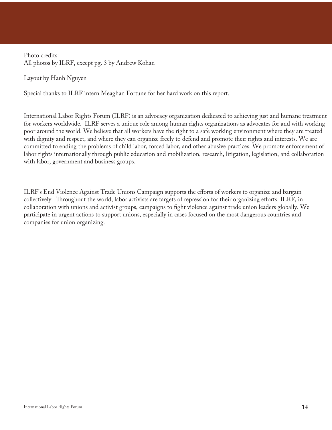Photo credits: All photos by ILRF, except pg. 3 by Andrew Kohan

Layout by Hanh Nguyen

Special thanks to ILRF intern Meaghan Fortune for her hard work on this report.

International Labor Rights Forum (ILRF) is an advocacy organization dedicated to achieving just and humane treatment for workers worldwide. ILRF serves a unique role among human rights organizations as advocates for and with working poor around the world. We believe that all workers have the right to a safe working environment where they are treated with dignity and respect, and where they can organize freely to defend and promote their rights and interests. We are committed to ending the problems of child labor, forced labor, and other abusive practices. We promote enforcement of labor rights internationally through public education and mobilization, research, litigation, legislation, and collaboration with labor, government and business groups.

ILRF's End Violence Against Trade Unions Campaign supports the efforts of workers to organize and bargain collectively. Throughout the world, labor activists are targets of repression for their organizing efforts. ILRF, in collaboration with unions and activist groups, campaigns to fight violence against trade union leaders globally. We participate in urgent actions to support unions, especially in cases focused on the most dangerous countries and companies for union organizing.